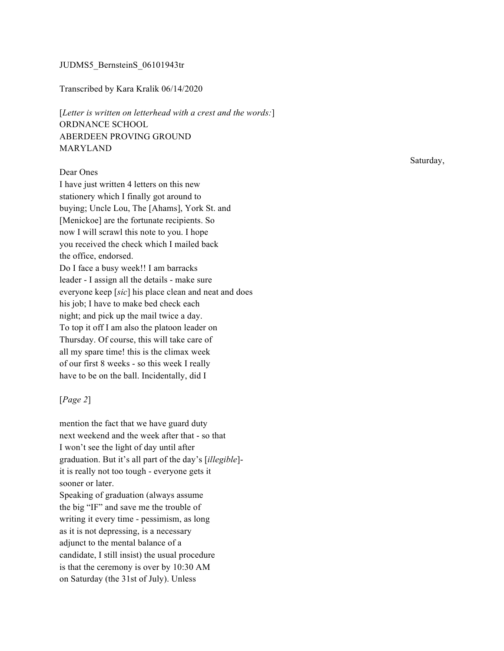### JUDMS5\_BernsteinS\_06101943tr

#### Transcribed by Kara Kralik 06/14/2020

[*Letter is written on letterhead with a crest and the words:*] ORDNANCE SCHOOL ABERDEEN PROVING GROUND MARYLAND

## Dear Ones

I have just written 4 letters on this new stationery which I finally got around to buying; Uncle Lou, The [Ahams], York St. and [Menickoe] are the fortunate recipients. So now I will scrawl this note to you. I hope you received the check which I mailed back the office, endorsed. Do I face a busy week!! I am barracks leader - I assign all the details - make sure everyone keep [*sic*] his place clean and neat and does his job; I have to make bed check each night; and pick up the mail twice a day. To top it off I am also the platoon leader on Thursday. Of course, this will take care of all my spare time! this is the climax week of our first 8 weeks - so this week I really have to be on the ball. Incidentally, did I

### [*Page 2*]

mention the fact that we have guard duty next weekend and the week after that - so that I won't see the light of day until after graduation. But it's all part of the day's [*illegible*] it is really not too tough - everyone gets it sooner or later. Speaking of graduation (always assume the big "IF" and save me the trouble of writing it every time - pessimism, as long as it is not depressing, is a necessary adjunct to the mental balance of a candidate, I still insist) the usual procedure is that the ceremony is over by 10:30 AM on Saturday (the 31st of July). Unless

Saturday,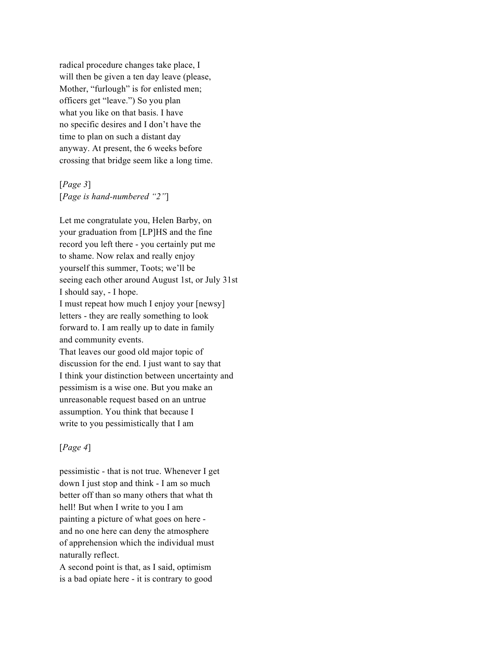radical procedure changes take place, I will then be given a ten day leave (please, Mother, "furlough" is for enlisted men; officers get "leave.") So you plan what you like on that basis. I have no specific desires and I don't have the time to plan on such a distant day anyway. At present, the 6 weeks before crossing that bridge seem like a long time.

[*Page 3*] [*Page is hand-numbered "2"*]

Let me congratulate you, Helen Barby, on your graduation from [LP]HS and the fine record you left there - you certainly put me to shame. Now relax and really enjoy yourself this summer, Toots; we'll be seeing each other around August 1st, or July 31st I should say, - I hope. I must repeat how much I enjoy your [newsy] letters - they are really something to look forward to. I am really up to date in family and community events. That leaves our good old major topic of discussion for the end. I just want to say that I think your distinction between uncertainty and pessimism is a wise one. But you make an unreasonable request based on an untrue assumption. You think that because I

# [*Page 4*]

pessimistic - that is not true. Whenever I get down I just stop and think - I am so much better off than so many others that what th hell! But when I write to you I am painting a picture of what goes on here and no one here can deny the atmosphere of apprehension which the individual must naturally reflect.

write to you pessimistically that I am

A second point is that, as I said, optimism is a bad opiate here - it is contrary to good